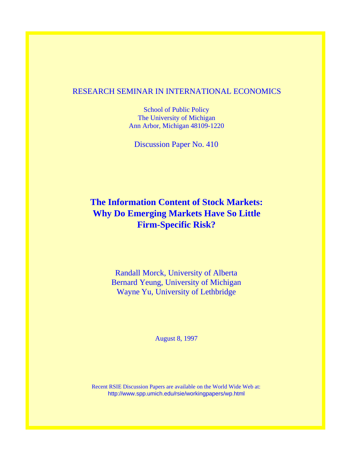# RESEARCH SEMINAR IN INTERNATIONAL ECONOMICS

School of Public Policy The University of Michigan Ann Arbor, Michigan 48109-1220

Discussion Paper No. 410

# **The Information Content of Stock Markets: Why Do Emerging Markets Have So Little Firm-Specific Risk?**

Randall Morck, University of Alberta Bernard Yeung, University of Michigan Wayne Yu, University of Lethbridge

August 8, 1997

Recent RSIE Discussion Papers are available on the World Wide Web at: http://www.spp.umich.edu/rsie/workingpapers/wp.html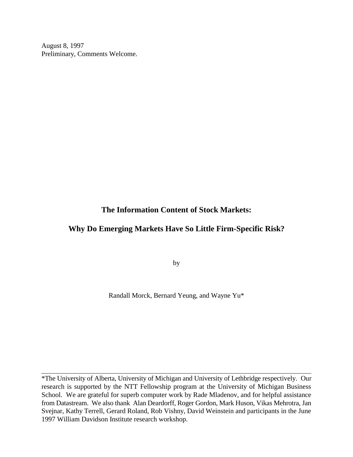August 8, 1997 Preliminary, Comments Welcome.

# **The Information Content of Stock Markets:**

# **Why Do Emerging Markets Have So Little Firm-Specific Risk?**

by

Randall Morck, Bernard Yeung, and Wayne Yu\*

\*The University of Alberta, University of Michigan and University of Lethbridge respectively. Our research is supported by the NTT Fellowship program at the University of Michigan Business School. We are grateful for superb computer work by Rade Mladenov, and for helpful assistance from Datastream. We also thank Alan Deardorff, Roger Gordon, Mark Huson, Vikas Mehrotra, Jan Svejnar, Kathy Terrell, Gerard Roland, Rob Vishny, David Weinstein and participants in the June 1997 William Davidson Institute research workshop.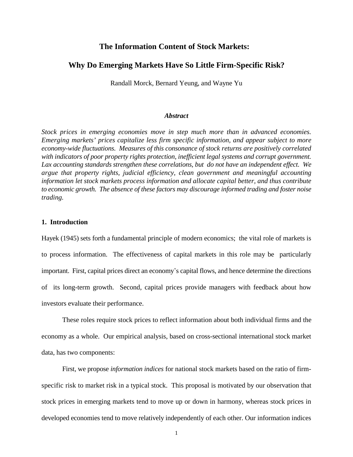# **The Information Content of Stock Markets:**

# **Why Do Emerging Markets Have So Little Firm-Specific Risk?**

Randall Morck, Bernard Yeung, and Wayne Yu

#### *Abstract*

*Stock prices in emerging economies move in step much more than in advanced economies. Emerging markets' prices capitalize less firm specific information, and appear subject to more economy-wide fluctuations. Measures of this consonance of stock returns are positively correlated with indicators of poor property rights protection, inefficient legal systems and corrupt government. Lax accounting standards strengthen these correlations, but do not have an independent effect. We argue that property rights, judicial efficiency, clean government and meaningful accounting information let stock markets process information and allocate capital better, and thus contribute to economic growth. The absence of these factors may discourage informed trading and foster noise trading.*

#### **1. Introduction**

Hayek (1945) sets forth a fundamental principle of modern economics; the vital role of markets is to process information. The effectiveness of capital markets in this role may be particularly important. First, capital prices direct an economy's capital flows, and hence determine the directions of its long-term growth. Second, capital prices provide managers with feedback about how investors evaluate their performance.

These roles require stock prices to reflect information about both individual firms and the economy as a whole. Our empirical analysis, based on cross-sectional international stock market data, has two components:

First, we propose *information indices* for national stock markets based on the ratio of firmspecific risk to market risk in a typical stock. This proposal is motivated by our observation that stock prices in emerging markets tend to move up or down in harmony, whereas stock prices in developed economies tend to move relatively independently of each other. Our information indices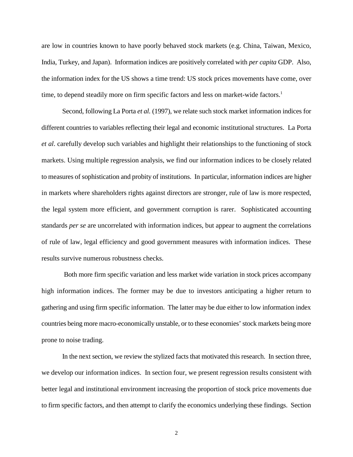are low in countries known to have poorly behaved stock markets (e.g. China, Taiwan, Mexico, India, Turkey, and Japan). Information indices are positively correlated with *per capita* GDP. Also, the information index for the US shows a time trend: US stock prices movements have come, over time, to depend steadily more on firm specific factors and less on market-wide factors.<sup>1</sup>

Second, following La Porta *et al.* (1997), we relate such stock market information indices for different countries to variables reflecting their legal and economic institutional structures. La Porta *et al*. carefully develop such variables and highlight their relationships to the functioning of stock markets. Using multiple regression analysis, we find our information indices to be closely related to measures of sophistication and probity of institutions. In particular, information indices are higher in markets where shareholders rights against directors are stronger, rule of law is more respected, the legal system more efficient, and government corruption is rarer. Sophisticated accounting standards *per se* are uncorrelated with information indices, but appear to augment the correlations of rule of law, legal efficiency and good government measures with information indices. These results survive numerous robustness checks.

 Both more firm specific variation and less market wide variation in stock prices accompany high information indices. The former may be due to investors anticipating a higher return to gathering and using firm specific information. The latter may be due either to low information index countries being more macro-economically unstable, or to these economies' stock markets being more prone to noise trading.

In the next section, we review the stylized facts that motivated this research. In section three, we develop our information indices. In section four, we present regression results consistent with better legal and institutional environment increasing the proportion of stock price movements due to firm specific factors, and then attempt to clarify the economics underlying these findings. Section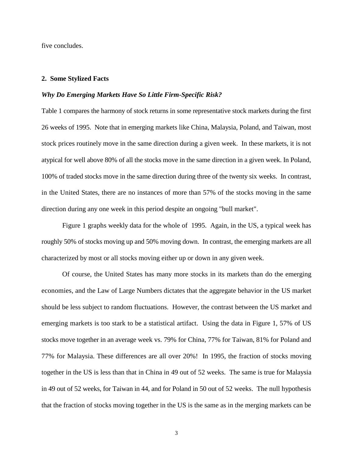five concludes.

#### **2. Some Stylized Facts**

#### *Why Do Emerging Markets Have So Little Firm-Specific Risk?*

Table 1 compares the harmony of stock returns in some representative stock markets during the first 26 weeks of 1995. Note that in emerging markets like China, Malaysia, Poland, and Taiwan, most stock prices routinely move in the same direction during a given week. In these markets, it is not atypical for well above 80% of all the stocks move in the same direction in a given week. In Poland, 100% of traded stocks move in the same direction during three of the twenty six weeks. In contrast, in the United States, there are no instances of more than 57% of the stocks moving in the same direction during any one week in this period despite an ongoing "bull market".

Figure 1 graphs weekly data for the whole of 1995. Again, in the US, a typical week has roughly 50% of stocks moving up and 50% moving down. In contrast, the emerging markets are all characterized by most or all stocks moving either up or down in any given week.

Of course, the United States has many more stocks in its markets than do the emerging economies, and the Law of Large Numbers dictates that the aggregate behavior in the US market should be less subject to random fluctuations. However, the contrast between the US market and emerging markets is too stark to be a statistical artifact. Using the data in Figure 1, 57% of US stocks move together in an average week vs. 79% for China, 77% for Taiwan, 81% for Poland and 77% for Malaysia. These differences are all over 20%! In 1995, the fraction of stocks moving together in the US is less than that in China in 49 out of 52 weeks. The same is true for Malaysia in 49 out of 52 weeks, for Taiwan in 44, and for Poland in 50 out of 52 weeks. The null hypothesis that the fraction of stocks moving together in the US is the same as in the merging markets can be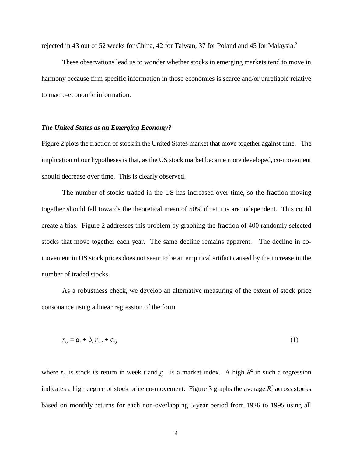rejected in 43 out of 52 weeks for China, 42 for Taiwan, 37 for Poland and 45 for Malaysia.2

These observations lead us to wonder whether stocks in emerging markets tend to move in harmony because firm specific information in those economies is scarce and/or unreliable relative to macro-economic information.

# *The United States as an Emerging Economy?*

Figure 2 plots the fraction of stock in the United States market that move together against time. The implication of our hypotheses is that, as the US stock market became more developed, co-movement should decrease over time. This is clearly observed.

The number of stocks traded in the US has increased over time, so the fraction moving together should fall towards the theoretical mean of 50% if returns are independent. This could create a bias. Figure 2 addresses this problem by graphing the fraction of 400 randomly selected stocks that move together each year. The same decline remains apparent. The decline in comovement in US stock prices does not seem to be an empirical artifact caused by the increase in the number of traded stocks.

As a robustness check, we develop an alternative measuring of the extent of stock price consonance using a linear regression of the form

$$
r_{i,t} = \alpha_i + \beta_t r_{m,t} + \epsilon_{i,t} \tag{1}
$$

where  $r_{i,t}$  is stock *i*'s return in week t and  $r_{i,t}$  is a market index. A high  $R^2$  in such a regression indicates a high degree of stock price co-movement. Figure 3 graphs the average  $R^2$  across stocks based on monthly returns for each non-overlapping 5-year period from 1926 to 1995 using all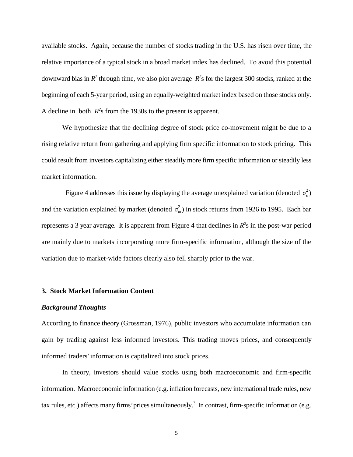available stocks. Again, because the number of stocks trading in the U.S. has risen over time, the relative importance of a typical stock in a broad market index has declined. To avoid this potential downward bias in  $R^2$  through time, we also plot average  $R^2$ s for the largest 300 stocks, ranked at the beginning of each 5-year period, using an equally-weighted market index based on those stocks only. A decline in both  $R^2$ s from the 1930s to the present is apparent.

We hypothesize that the declining degree of stock price co-movement might be due to a rising relative return from gathering and applying firm specific information to stock pricing. This could result from investors capitalizing either steadily more firm specific information or steadily less market information.

Figure 4 addresses this issue by displaying the average unexplained variation (denoted  $\sigma_{\epsilon}^2$ )  $\sigma_n^2$ and the variation explained by market (denoted  $\sigma_m^2$ ) in stock returns from 1926 to 1995. Each bar represents a 3 year average. It is apparent from Figure 4 that declines in  $R<sup>2</sup>$ s in the post-war period are mainly due to markets incorporating more firm-specific information, although the size of the variation due to market-wide factors clearly also fell sharply prior to the war.

#### **3. Stock Market Information Content**

#### *Background Thoughts*

According to finance theory (Grossman, 1976), public investors who accumulate information can gain by trading against less informed investors. This trading moves prices, and consequently informed traders' information is capitalized into stock prices.

In theory, investors should value stocks using both macroeconomic and firm-specific information. Macroeconomic information (e.g. inflation forecasts, new international trade rules, new tax rules, etc.) affects many firms' prices simultaneously.<sup>3</sup> In contrast, firm-specific information (e.g.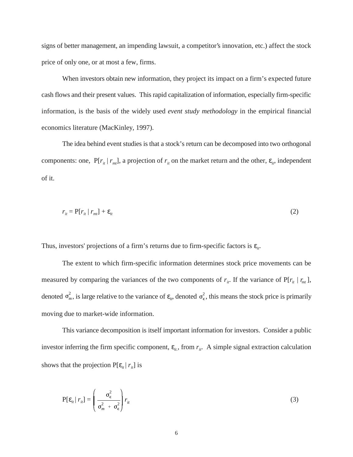signs of better management, an impending lawsuit, a competitor's innovation, etc.) affect the stock price of only one, or at most a few, firms.

When investors obtain new information, they project its impact on a firm's expected future cash flows and their present values. This rapid capitalization of information, especially firm-specific information, is the basis of the widely used *event study methodology* in the empirical financial economics literature (MacKinley, 1997).

The idea behind event studies is that a stock's return can be decomposed into two orthogonal components: one,  $P[r_{it} | r_{mt}]$ , a projection of  $r_{it}$  on the market return and the other,  $\varepsilon_{it}$ , independent of it.

$$
r_{it} = P[r_{it} | r_{mt}] + \varepsilon_{it} \tag{2}
$$

Thus, investors' projections of a firm's returns due to firm-specific factors is  $\varepsilon_{it}$ .

denoted  $\sigma_m^2$ , is large relative to the variance of  $\varepsilon_{ir}$ , denoted  $\sigma_e^2$ , this means the stock price is primarily The extent to which firm-specific information determines stock price movements can be measured by comparing the variances of the two components of  $r_{ir}$ . If the variance of  $P[r_{it} | r_{mt}],$ moving due to market-wide information.

This variance decomposition is itself important information for investors. Consider a public investor inferring the firm specific component,  $\varepsilon_{it}$ , from  $r_{it}$ . A simple signal extraction calculation shows that the projection  $P[\varepsilon_{it} | r_{it}]$  is

$$
P[\varepsilon_{it} | r_{it}] = \left(\frac{\sigma_{\epsilon}^2}{\sigma_m^2 + \sigma_{\epsilon}^2}\right) r_{it}
$$
 (3)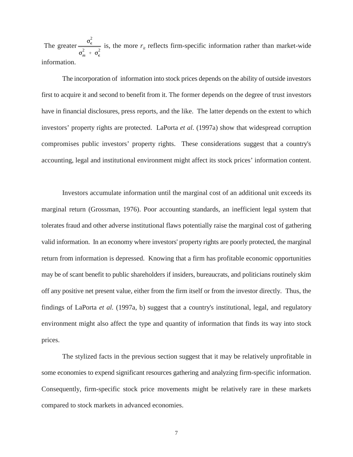$\sigma_{\epsilon}^2$  $\sigma_m^2$  +  $\sigma_{\epsilon}^2$ The greater  $\frac{\epsilon}{\sqrt{2}}$  is, the more  $r_{it}$  reflects firm-specific information rather than market-wide information.

The incorporation of information into stock prices depends on the ability of outside investors first to acquire it and second to benefit from it. The former depends on the degree of trust investors have in financial disclosures, press reports, and the like. The latter depends on the extent to which investors' property rights are protected. LaPorta *et al.* (1997a) show that widespread corruption compromises public investors' property rights. These considerations suggest that a country's accounting, legal and institutional environment might affect its stock prices' information content.

Investors accumulate information until the marginal cost of an additional unit exceeds its marginal return (Grossman, 1976). Poor accounting standards, an inefficient legal system that tolerates fraud and other adverse institutional flaws potentially raise the marginal cost of gathering valid information. In an economy where investors' property rights are poorly protected, the marginal return from information is depressed. Knowing that a firm has profitable economic opportunities may be of scant benefit to public shareholders if insiders, bureaucrats, and politicians routinely skim off any positive net present value, either from the firm itself or from the investor directly. Thus, the findings of LaPorta *et al.* (1997a, b) suggest that a country's institutional, legal, and regulatory environment might also affect the type and quantity of information that finds its way into stock prices.

The stylized facts in the previous section suggest that it may be relatively unprofitable in some economies to expend significant resources gathering and analyzing firm-specific information. Consequently, firm-specific stock price movements might be relatively rare in these markets compared to stock markets in advanced economies.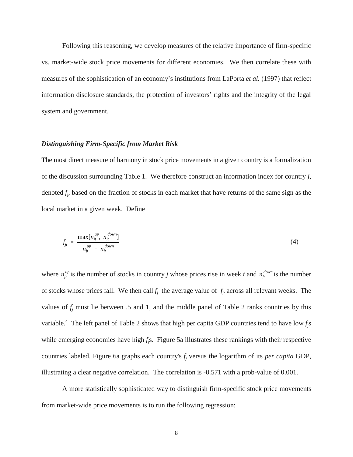Following this reasoning, we develop measures of the relative importance of firm-specific vs. market-wide stock price movements for different economies. We then correlate these with measures of the sophistication of an economy's institutions from LaPorta *et al.* (1997) that reflect information disclosure standards, the protection of investors' rights and the integrity of the legal system and government.

### *Distinguishing Firm-Specific from Market Risk*

The most direct measure of harmony in stock price movements in a given country is a formalization of the discussion surrounding Table 1. We therefore construct an information index for country *j*, denoted *fj* , based on the fraction of stocks in each market that have returns of the same sign as the local market in a given week. Define

$$
f_{jt} = \frac{\max[n_{jt}^{up}, n_{jt}^{down}]}{n_{jt}^{up} + n_{jt}^{down}}
$$
 (4)

 $n_{jt}^{up}$  is the number of stocks in country *j* whose prices rise in week *t* and  $n_{jt}^{down}$ where  $n_{jt}^{\mu p}$  is the number of stocks in country *j* whose prices rise in week *t* and  $n_{jt}^{\text{down}}$  is the number of stocks whose prices fall. We then call  $f_i$  the average value of  $f_i$  across all relevant weeks. The values of  $f_i$  must lie between .5 and 1, and the middle panel of Table 2 ranks countries by this variable.<sup>4</sup> The left panel of Table 2 shows that high per capita GDP countries tend to have low  $f_j$ s while emerging economies have high *f<sub>j</sub>s*. Figure 5a illustrates these rankings with their respective countries labeled. Figure 6a graphs each country's  $f_i$  versus the logarithm of its *per capita* GDP, illustrating a clear negative correlation. The correlation is -0.571 with a prob-value of 0.001.

A more statistically sophisticated way to distinguish firm-specific stock price movements from market-wide price movements is to run the following regression: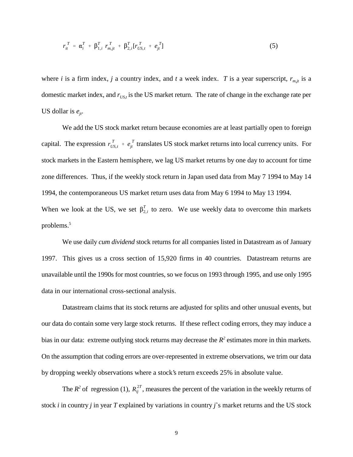$$
r_{it}^T = \alpha_i^T + \beta_{1,i}^T r_{m,jt}^T + \beta_{2,i}^T [r_{US,t}^T + e_{jt}^T]
$$
 (5)

where *i* is a firm index, *j* a country index, and *t* a week index. *T* is a year superscript,  $r_{m,i}$  is a domestic market index, and  $r_{\text{US},t}$  is the US market return. The rate of change in the exchange rate per US dollar is  $e_{it}$ .

 $r_{US,t}^T + e_{jt}^T$ capital. The expression  $r_{US,t}^I + e_{jt}^I$  translates US stock market returns into local currency units. For When we look at the US, we set  $\beta_{2,i}^T$  to zero. We use weekly data to overcome thin markets We add the US stock market return because economies are at least partially open to foreign stock markets in the Eastern hemisphere, we lag US market returns by one day to account for time zone differences. Thus, if the weekly stock return in Japan used data from May 7 1994 to May 14 1994, the contemporaneous US market return uses data from May 6 1994 to May 13 1994. problems. 5

We use daily *cum dividend* stock returns for all companies listed in Datastream as of January 1997. This gives us a cross section of 15,920 firms in 40 countries. Datastream returns are unavailable until the 1990s for most countries, so we focus on 1993 through 1995, and use only 1995 data in our international cross-sectional analysis.

Datastream claims that its stock returns are adjusted for splits and other unusual events, but our data do contain some very large stock returns. If these reflect coding errors, they may induce a bias in our data: extreme outlying stock returns may decrease the  $R<sup>2</sup>$  estimates more in thin markets. On the assumption that coding errors are over-represented in extreme observations, we trim our data by dropping weekly observations where a stock's return exceeds 25% in absolute value.

The  $R^2$  of regression (1),  $R_{ij}^{2T}$ , measures the percent of the variation in the weekly returns of stock *i* in country *j* in year *T* explained by variations in country *j*\*s market returns and the US stock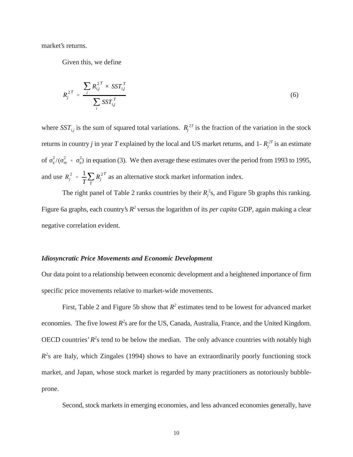market's returns.

Given this, we define

$$
R_j^{2T} = \frac{\sum_i R_{ij}^{2T} \times SST_{ij}^T}{\sum_i SST_{ij}^T}
$$
 (6)

of  $\sigma_{\epsilon}^2/(\sigma_m^2 + \sigma_{\epsilon}^2)$  in equation (3). We then average these estimates over the period from 1993 to 1995,  $R_j^2 = \frac{1}{T} \sum_{T}$  $R_j^2$ and use  $R_i^2 = \frac{1}{n} \sum R_i^{2T}$  as an alternative stock market information index. where *SST<sub>i,j</sub>* is the sum of squared total variations.  $R_i^{2T}$  is the fraction of the variation in the stock returns in country *j* in year *T* explained by the local and US market returns, and 1- $R_j^{2T}$  is an estimate

The right panel of Table 2 ranks countries by their  $R_j^2$ s, and Figure 5b graphs this ranking. Figure 6a graphs, each country's  $R^2$  versus the logarithm of its *per capita* GDP, again making a clear negative correlation evident.

#### *Idiosyncratic Price Movements and Economic Development*

Our data point to a relationship between economic development and a heightened importance of firm specific price movements relative to market-wide movements.

First, Table 2 and Figure 5b show that  $R^2$  estimates tend to be lowest for advanced market economies. The five lowest  $R^2$ s are for the US, Canada, Australia, France, and the United Kingdom. OECD countries'  $R<sup>2</sup>$ s tend to be below the median. The only advance countries with notably high  $R<sup>2</sup>s$  are Italy, which Zingales (1994) shows to have an extraordinarily poorly functioning stock market, and Japan, whose stock market is regarded by many practitioners as notoriously bubbleprone.

Second, stock markets in emerging economies, and less advanced economies generally, have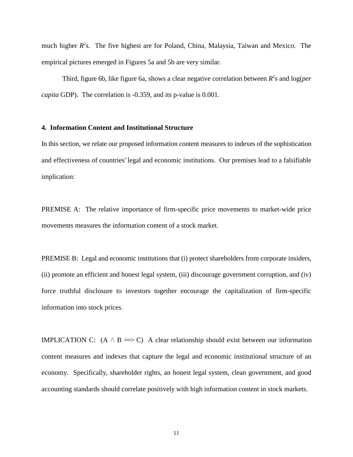much higher  $R<sup>2</sup>$ s. The five highest are for Poland, China, Malaysia, Taiwan and Mexico. The empirical pictures emerged in Figures 5a and 5b are very similar.

Third, figure 6b, like figure 6a, shows a clear negative correlation between  $R^2$ s and log(*per capita* GDP). The correlation is -0.359, and its p-value is 0.001.

#### **4. Information Content and Institutional Structure**

In this section, we relate our proposed information content measures to indexes of the sophistication and effectiveness of countries' legal and economic institutions. Our premises lead to a falsifiable implication:

PREMISE A: The relative importance of firm-specific price movements to market-wide price movements measures the information content of a stock market.

PREMISE B: Legal and economic institutions that (i) protect shareholders from corporate insiders, (ii) promote an efficient and honest legal system, (iii) discourage government corruption, and (iv) force truthful disclosure to investors together encourage the capitalization of firm-specific information into stock prices.

IMPLICATION C:  $(A \land B \implies C)$  A clear relationship should exist between our information content measures and indexes that capture the legal and economic institutional structure of an economy. Specifically, shareholder rights, an honest legal system, clean government, and good accounting standards should correlate positively with high information content in stock markets.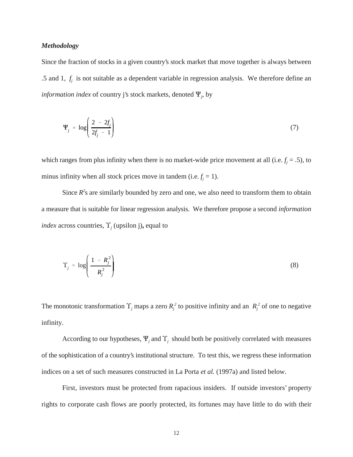#### *Methodology*

Since the fraction of stocks in a given country's stock market that move together is always between .5 and 1,  $f_j$  is not suitable as a dependent variable in regression analysis. We therefore define an *information index* of country j's stock markets, denoted Q*<sup>j</sup>* , by

$$
\Psi_j = \log \left( \frac{2 - 2f_j}{2f_j - 1} \right) \tag{7}
$$

which ranges from plus infinity when there is no market-wide price movement at all (i.e.  $f_j = .5$ ), to minus infinity when all stock prices move in tandem (i.e.  $f_i = 1$ ).

Since  $R^2$ s are similarly bounded by zero and one, we also need to transform them to obtain a measure that is suitable for linear regression analysis. We therefore propose a second *information index* across countries,  $\Upsilon$ <sub>*j*</sub> (upsilon j), equal to

$$
\Upsilon_j = \log \left( \frac{1 - R_j^2}{R_j^2} \right) \tag{8}
$$

The monotonic transformation  $\Upsilon_j$  maps a zero  $R_j^2$  to positive infinity and an  $R_j^2$  of one to negative infinity.

According to our hypotheses,  $\Psi_j$  and  $\Upsilon_j$  should both be positively correlated with measures of the sophistication of a country's institutional structure. To test this, we regress these information indices on a set of such measures constructed in La Porta *et al.* (1997a) and listed below.

First, investors must be protected from rapacious insiders. If outside investors' property rights to corporate cash flows are poorly protected, its fortunes may have little to do with their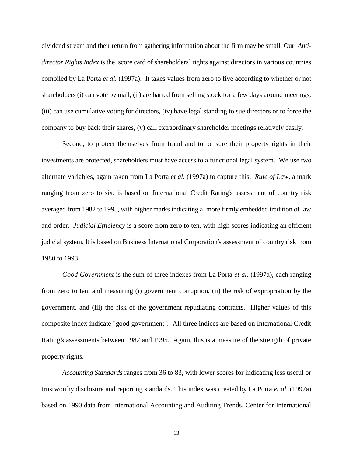dividend stream and their return from gathering information about the firm may be small. Our *Antidirector Rights Index* is the score card of shareholders' rights against directors in various countries compiled by La Porta *et al.* (1997a). It takes values from zero to five according to whether or not shareholders (i) can vote by mail, (ii) are barred from selling stock for a few days around meetings, (iii) can use cumulative voting for directors, (iv) have legal standing to sue directors or to force the company to buy back their shares, (v) call extraordinary shareholder meetings relatively easily.

Second, to protect themselves from fraud and to be sure their property rights in their investments are protected, shareholders must have access to a functional legal system. We use two alternate variables, again taken from La Porta *et al.* (1997a) to capture this. *Rule of Law*, a mark ranging from zero to six, is based on International Credit Rating's assessment of country risk averaged from 1982 to 1995, with higher marks indicating a more firmly embedded tradition of law and order. *Judicial Efficiency* is a score from zero to ten, with high scores indicating an efficient judicial system. It is based on Business International Corporation's assessment of country risk from 1980 to 1993.

*Good Government* is the sum of three indexes from La Porta *et al.* (1997a), each ranging from zero to ten, and measuring (i) government corruption, (ii) the risk of expropriation by the government, and (iii) the risk of the government repudiating contracts. Higher values of this composite index indicate "good government". All three indices are based on International Credit Rating's assessments between 1982 and 1995. Again, this is a measure of the strength of private property rights.

*Accounting Standards* ranges from 36 to 83, with lower scores for indicating less useful or trustworthy disclosure and reporting standards. This index was created by La Porta *et al.* (1997a) based on 1990 data from International Accounting and Auditing Trends, Center for International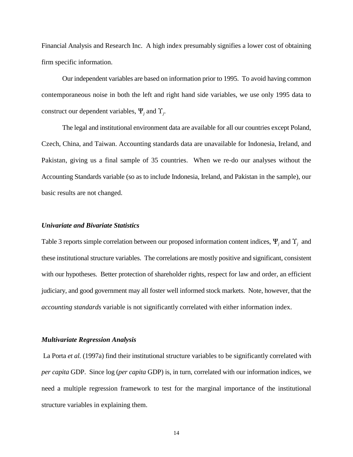Financial Analysis and Research Inc. A high index presumably signifies a lower cost of obtaining firm specific information.

Our independent variables are based on information prior to 1995. To avoid having common contemporaneous noise in both the left and right hand side variables, we use only 1995 data to construct our dependent variables,  $\Psi_i$  and  $\Upsilon_i$ .

The legal and institutional environment data are available for all our countries except Poland, Czech, China, and Taiwan. Accounting standards data are unavailable for Indonesia, Ireland, and Pakistan, giving us a final sample of 35 countries. When we re-do our analyses without the Accounting Standards variable (so as to include Indonesia, Ireland, and Pakistan in the sample), our basic results are not changed.

# *Univariate and Bivariate Statistics*

Table 3 reports simple correlation between our proposed information content indices,  $\Psi_j$  and  $\Upsilon_j$  and these institutional structure variables. The correlations are mostly positive and significant, consistent with our hypotheses. Better protection of shareholder rights, respect for law and order, an efficient judiciary, and good government may all foster well informed stock markets. Note, however, that the *accounting standards* variable is not significantly correlated with either information index.

### *Multivariate Regression Analysis*

La Porta *et al.* (1997a) find their institutional structure variables to be significantly correlated with *per capita* GDP. Since log (*per capita* GDP) is, in turn, correlated with our information indices, we need a multiple regression framework to test for the marginal importance of the institutional structure variables in explaining them.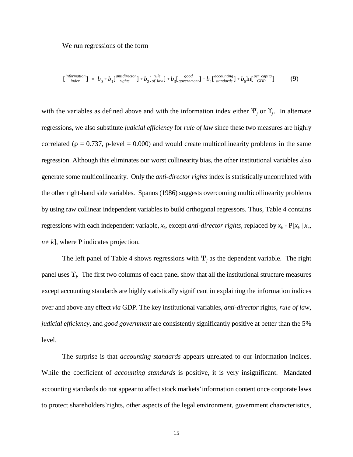We run regressions of the form

$$
\begin{bmatrix} \text{information} \\ \text{index} \end{bmatrix} = b_0 + b_1 \begin{bmatrix} \text{antidirector} \\ \text{right} \end{bmatrix} + b_2 \begin{bmatrix} \text{rule} \\ \text{of law} \end{bmatrix} + b_3 \begin{bmatrix} \text{good} \\ \text{overment} \end{bmatrix} + b_4 \begin{bmatrix} \text{accounting} \\ \text{standards} \end{bmatrix} + b_5 \ln \begin{bmatrix} \text{per capita} \\ \text{GDP} \end{bmatrix} \tag{9}
$$

with the variables as defined above and with the information index either  $\Psi_j$  or  $\Upsilon_j$ . In alternate regressions, we also substitute *judicial efficiency* for *rule of law* since these two measures are highly correlated ( $\rho = 0.737$ , p-level = 0.000) and would create multicollinearity problems in the same regression. Although this eliminates our worst collinearity bias, the other institutional variables also generate some multicollinearity. Only the *anti-director rights* index is statistically uncorrelated with the other right-hand side variables. Spanos (1986) suggests overcoming multicollinearity problems by using raw collinear independent variables to build orthogonal regressors. Thus, Table 4 contains regressions with each independent variable,  $x_k$ , except *anti-director rights*, replaced by  $x_k$  - P[ $x_k$  |  $x_n$ ,  $n \neq k$ ], where P indicates projection.

The left panel of Table 4 shows regressions with  $\Psi_j$  as the dependent variable. The right panel uses  $\Upsilon_j$ . The first two columns of each panel show that all the institutional structure measures except accounting standards are highly statistically significant in explaining the information indices over and above any effect *via* GDP. The key institutional variables, *anti-director* rights, *rule of law*, *judicial efficiency*, and *good government* are consistently significantly positive at better than the 5% level.

The surprise is that *accounting standards* appears unrelated to our information indices. While the coefficient of *accounting standards* is positive, it is very insignificant. Mandated accounting standards do not appear to affect stock markets' information content once corporate laws to protect shareholders\*rights, other aspects of the legal environment, government characteristics,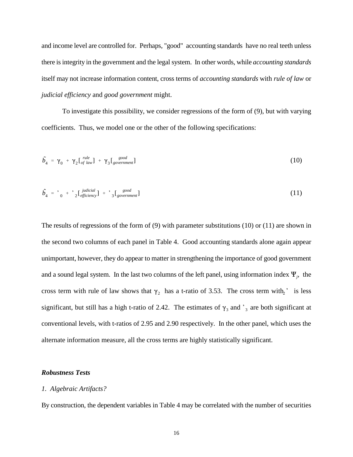and income level are controlled for. Perhaps, "good" accounting standards have no real teeth unless there is integrity in the government and the legal system. In other words, while *accounting standards* itself may not increase information content, cross terms of *accounting standards* with *rule of law* or *judicial efficiency* and *good government* might.

To investigate this possibility, we consider regressions of the form of (9), but with varying coefficients. Thus, we model one or the other of the following specifications:

$$
\tilde{b}_4 = \gamma_0 + \gamma_2 \left[ \begin{matrix} \frac{rule}{\text{rel}}{\text{1}} \\ \text{of law} \end{matrix} \right] + \gamma_3 \left[ \begin{matrix} \frac{\text{good}}{\text{1}} \\ \text{goverment} \end{matrix} \right] \tag{10}
$$

$$
\hat{b}_4 = \text{ }^{\bullet} \text{ } \text{ }^{\bullet} \text{ } \text{ }^{\bullet} \text{ } \text{ }^{\bullet} \text{ }^{\bullet} \text{ }^{\bullet} \text{ }^{\bullet} \text{ }^{\bullet} \text{ }^{\bullet} \text{ }^{\bullet} \text{ }^{\bullet} \text{ }^{\bullet} \text{ }^{\bullet} \text{ }^{\bullet} \text{ }^{\bullet} \text{ }^{\bullet} \text{ }^{\bullet} \text{ }^{\bullet} \text{ }^{\bullet} \text{ }^{\bullet} \text{ }^{\bullet} \text{ }^{\bullet} \text{ }^{\bullet} \text{ }^{\bullet} \text{ }^{\bullet} \text{ }^{\bullet} \text{ }^{\bullet} \text{ }^{\bullet} \text{ }^{\bullet} \text{ }^{\bullet} \text{ }^{\bullet} \text{ }^{\bullet} \text{ }^{\bullet} \text{ }^{\bullet} \text{ }^{\bullet} \text{ }^{\bullet} \text{ }^{\bullet} \text{ }^{\bullet} \text{ }^{\bullet} \text{ }^{\bullet} \text{ }^{\bullet} \text{ }^{\bullet} \text{ }^{\bullet} \text{ }^{\bullet} \text{ }^{\bullet} \text{ }^{\bullet} \text{ }^{\bullet} \text{ }^{\bullet} \text{ }^{\bullet} \text{ }^{\bullet} \text{ }^{\bullet} \text{ }^{\bullet} \text{ }^{\bullet} \text{ }^{\bullet} \text{ }^{\bullet} \text{ }^{\bullet} \text{ }^{\bullet} \text{ }^{\bullet} \text{ }^{\bullet} \text{ }^{\bullet} \text{ }^{\bullet} \text{ }^{\bullet} \text{ }^{\bullet} \text{ }^{\bullet} \text{ }^{\bullet} \text{ }^{\bullet} \text{ }^{\bullet} \text{ }^{\bullet} \text{ }^{\bullet} \text{ }^{\bullet} \text{ }^{\bullet} \text{ }^{\bullet} \text{ }^{\bullet} \text{ }^{\bullet} \text{ }^{\bullet} \text{ }^{\bullet} \text{ }^{\bullet} \text{ }^{\bullet} \text{ }^{\bullet} \text{ }^{\bullet} \text{ }^{\bullet} \text{ }^{\bullet} \text{ }^{\bullet} \text{ }^{\bullet} \text{ }^{\bullet} \text{ }^{\bullet} \text{ }^{\bullet} \text{ }^{\bullet} \text{ }^{\bullet} \text{ }^{\bullet} \text{ }^{\bullet} \text{ }^{\bullet} \text{ }^
$$

The results of regressions of the form of (9) with parameter substitutions (10) or (11) are shown in the second two columns of each panel in Table 4. Good accounting standards alone again appear unimportant, however, they do appear to matter in strengthening the importance of good government and a sound legal system. In the last two columns of the left panel, using information index  $\Psi_j$ , the cross term with rule of law shows that  $\gamma_2$  has a t-ratio of 3.53. The cross term with  $\gamma$  is less significant, but still has a high t-ratio of 2.42. The estimates of  $\gamma_3$  and  $\gamma_4$  are both significant at conventional levels, with t-ratios of 2.95 and 2.90 respectively. In the other panel, which uses the alternate information measure, all the cross terms are highly statistically significant.

### *Robustness Tests*

#### *1. Algebraic Artifacts?*

By construction, the dependent variables in Table 4 may be correlated with the number of securities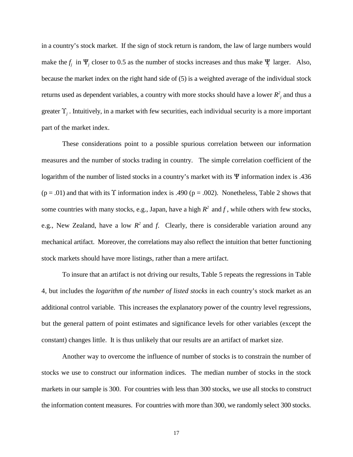in a country's stock market. If the sign of stock return is random, the law of large numbers would make the  $f_i$  in  $\Psi_i$  closer to 0.5 as the number of stocks increases and thus make  $\Psi_i$  larger. Also, because the market index on the right hand side of (5) is a weighted average of the individual stock returns used as dependent variables, a country with more stocks should have a lower  $R^2_{\ j}$  and thus a greater  $\Upsilon_i$ . Intuitively, in a market with few securities, each individual security is a more important part of the market index.

These considerations point to a possible spurious correlation between our information measures and the number of stocks trading in country. The simple correlation coefficient of the logarithm of the number of listed stocks in a country's market with its  $\Psi$  information index is .436 ( $p = .01$ ) and that with its  $\Upsilon$  information index is .490 ( $p = .002$ ). Nonetheless, Table 2 shows that some countries with many stocks, e.g., Japan, have a high  $R^2$  and f, while others with few stocks, e.g., New Zealand, have a low  $R^2$  and *f*. Clearly, there is considerable variation around any mechanical artifact. Moreover, the correlations may also reflect the intuition that better functioning stock markets should have more listings, rather than a mere artifact.

To insure that an artifact is not driving our results, Table 5 repeats the regressions in Table 4, but includes the *logarithm of the number of listed stocks* in each country's stock market as an additional control variable. This increases the explanatory power of the country level regressions, but the general pattern of point estimates and significance levels for other variables (except the constant) changes little. It is thus unlikely that our results are an artifact of market size.

Another way to overcome the influence of number of stocks is to constrain the number of stocks we use to construct our information indices. The median number of stocks in the stock markets in our sample is 300. For countries with less than 300 stocks, we use all stocks to construct the information content measures. For countries with more than 300, we randomly select 300 stocks.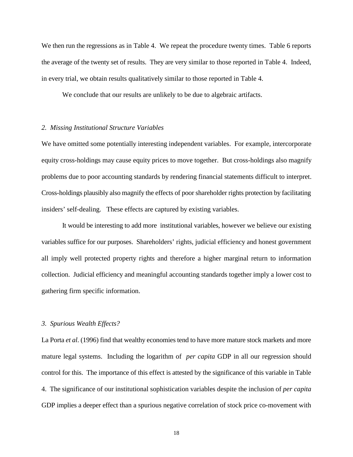We then run the regressions as in Table 4. We repeat the procedure twenty times. Table 6 reports the average of the twenty set of results. They are very similar to those reported in Table 4. Indeed, in every trial, we obtain results qualitatively similar to those reported in Table 4.

We conclude that our results are unlikely to be due to algebraic artifacts.

#### *2. Missing Institutional Structure Variables*

We have omitted some potentially interesting independent variables. For example, intercorporate equity cross-holdings may cause equity prices to move together. But cross-holdings also magnify problems due to poor accounting standards by rendering financial statements difficult to interpret. Cross-holdings plausibly also magnify the effects of poor shareholder rights protection by facilitating insiders' self-dealing. These effects are captured by existing variables.

It would be interesting to add more institutional variables, however we believe our existing variables suffice for our purposes. Shareholders' rights, judicial efficiency and honest government all imply well protected property rights and therefore a higher marginal return to information collection. Judicial efficiency and meaningful accounting standards together imply a lower cost to gathering firm specific information.

# *3. Spurious Wealth Effects?*

La Porta *et al*. (1996) find that wealthy economies tend to have more mature stock markets and more mature legal systems. Including the logarithm of *per capita* GDP in all our regression should control for this. The importance of this effect is attested by the significance of this variable in Table 4. The significance of our institutional sophistication variables despite the inclusion of *per capita* GDP implies a deeper effect than a spurious negative correlation of stock price co-movement with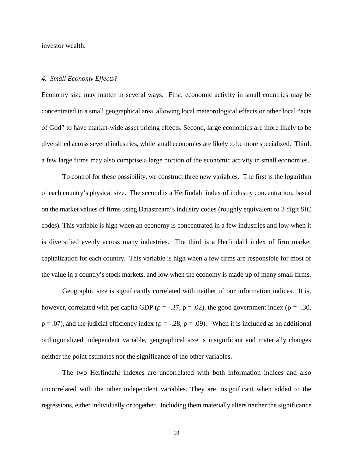investor wealth.

#### *4. Small Economy Effects?*

Economy size may matter in several ways. First, economic activity in small countries may be concentrated in a small geographical area, allowing local meteorological effects or other local "acts of God" to have market-wide asset pricing effects. Second, large economies are more likely to be diversified across several industries, while small economies are likely to be more specialized. Third, a few large firms may also comprise a large portion of the economic activity in small economies.

To control for these possibility, we construct three new variables. The first is the logarithm of each country's physical size. The second is a Herfindahl index of industry concentration, based on the market values of firms using Datastream's industry codes (roughly equivalent to 3 digit SIC codes). This variable is high when an economy is concentrated in a few industries and low when it is diversified evenly across many industries. The third is a Herfindahl index of firm market capitalization for each country. This variable is high when a few firms are responsible for most of the value in a country's stock markets, and low when the economy is made up of many small firms.

Geographic size is significantly correlated with neither of our information indices. It is, however, correlated with per capita GDP ( $\rho = -.37$ ,  $p = .02$ ), the good government index ( $\rho = -.30$ ,  $p = .07$ ), and the judicial efficiency index ( $p = .28$ ,  $p = .09$ ). When it is included as an additional orthogonalized independent variable, geographical size is insignificant and materially changes neither the point estimates nor the significance of the other variables.

The two Herfindahl indexes are uncorrelated with both information indices and also uncorrelated with the other independent variables. They are insignificant when added to the regressions, either individually or together. Including them materially alters neither the significance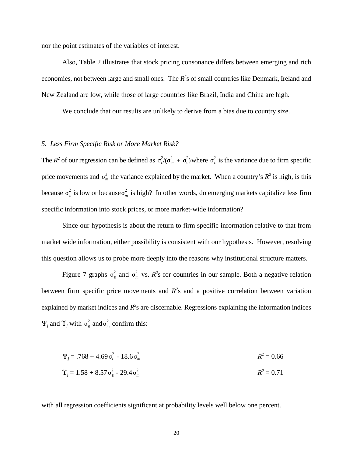nor the point estimates of the variables of interest.

Also, Table 2 illustrates that stock pricing consonance differs between emerging and rich economies, not between large and small ones. The *R*<sup>2</sup>s of small countries like Denmark, Ireland and New Zealand are low, while those of large countries like Brazil, India and China are high.

We conclude that our results are unlikely to derive from a bias due to country size.

# *5. Less Firm Specific Risk or More Market Risk?*

The *R*<sup>2</sup> of our regression can be defined as  $\sigma_{\epsilon}^2/(\sigma_m^2 + \sigma_{\epsilon}^2)$  where  $\sigma_{\epsilon}^2$  is the variance due to firm specific  $\sigma_n^2$ price movements and  $\sigma_m^2$  the variance explained by the market. When a country's  $R^2$  is high, is this  $\sigma_{\epsilon}^2$  is low or because  $\sigma_{n}^2$ because  $\sigma_{\epsilon}^2$  is low or because  $\sigma_m^2$  is high? In other words, do emerging markets capitalize less firm specific information into stock prices, or more market-wide information?

Since our hypothesis is about the return to firm specific information relative to that from market wide information, either possibility is consistent with our hypothesis. However, resolving this question allows us to probe more deeply into the reasons why institutional structure matters.

 $\sigma_{\epsilon}^2$  and  $\sigma_{n}^2$ Figure 7 graphs  $\sigma_{\epsilon}^2$  and  $\sigma_{m}^2$  vs.  $R^2$ s for countries in our sample. Both a negative relation  $\sigma_{\epsilon}^2$  and  $\sigma_{n}^2$  $\Psi_j$  and  $\Upsilon_j$  with  $\sigma_{\epsilon}^2$  and  $\sigma_m^2$  confirm this: between firm specific price movements and  $R<sup>2</sup>$ s and a positive correlation between variation explained by market indices and  $R<sup>2</sup>$ s are discernable. Regressions explaining the information indices

$$
\Psi_j = .768 + 4.69 \sigma_{\epsilon}^2 - 18.6 \sigma_m^2
$$
  

$$
\Upsilon_j = 1.58 + 8.57 \sigma_{\epsilon}^2 - 29.4 \sigma_m^2
$$
  

$$
R^2 = 0.66
$$
  

$$
R^2 = 0.71
$$

with all regression coefficients significant at probability levels well below one percent.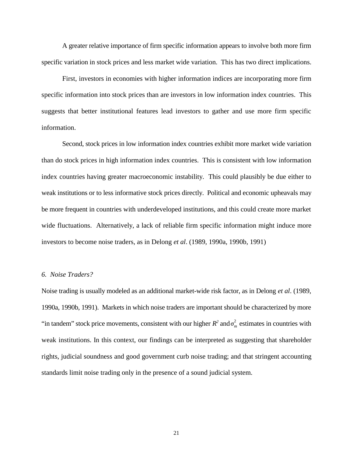A greater relative importance of firm specific information appears to involve both more firm specific variation in stock prices and less market wide variation. This has two direct implications.

First, investors in economies with higher information indices are incorporating more firm specific information into stock prices than are investors in low information index countries. This suggests that better institutional features lead investors to gather and use more firm specific information.

Second, stock prices in low information index countries exhibit more market wide variation than do stock prices in high information index countries. This is consistent with low information index countries having greater macroeconomic instability. This could plausibly be due either to weak institutions or to less informative stock prices directly. Political and economic upheavals may be more frequent in countries with underdeveloped institutions, and this could create more market wide fluctuations. Alternatively, a lack of reliable firm specific information might induce more investors to become noise traders, as in Delong *et al*. (1989, 1990a, 1990b, 1991)

### *6. Noise Traders?*

 $\sigma_n^2$ "in tandem" stock price movements, consistent with our higher  $R^2$  and  $\sigma_m^2$  estimates in countries with Noise trading is usually modeled as an additional market-wide risk factor, as in Delong *et al*. (1989, 1990a, 1990b, 1991). Markets in which noise traders are important should be characterized by more weak institutions. In this context, our findings can be interpreted as suggesting that shareholder rights, judicial soundness and good government curb noise trading; and that stringent accounting standards limit noise trading only in the presence of a sound judicial system.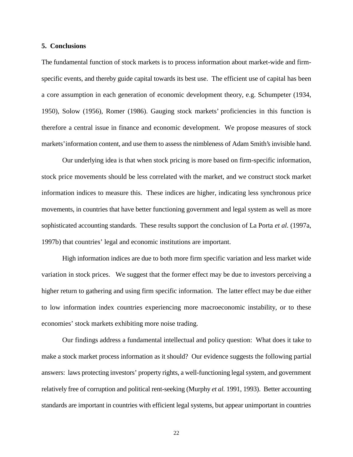#### **5. Conclusions**

The fundamental function of stock markets is to process information about market-wide and firmspecific events, and thereby guide capital towards its best use. The efficient use of capital has been a core assumption in each generation of economic development theory, e.g. Schumpeter (1934, 1950), Solow (1956), Romer (1986). Gauging stock markets' proficiencies in this function is therefore a central issue in finance and economic development. We propose measures of stock markets' information content, and use them to assess the nimbleness of Adam Smith's invisible hand.

Our underlying idea is that when stock pricing is more based on firm-specific information, stock price movements should be less correlated with the market, and we construct stock market information indices to measure this. These indices are higher, indicating less synchronous price movements, in countries that have better functioning government and legal system as well as more sophisticated accounting standards. These results support the conclusion of La Porta *et al.* (1997a, 1997b) that countries' legal and economic institutions are important.

High information indices are due to both more firm specific variation and less market wide variation in stock prices. We suggest that the former effect may be due to investors perceiving a higher return to gathering and using firm specific information. The latter effect may be due either to low information index countries experiencing more macroeconomic instability, or to these economies' stock markets exhibiting more noise trading.

Our findings address a fundamental intellectual and policy question: What does it take to make a stock market process information as it should? Our evidence suggests the following partial answers: laws protecting investors' property rights, a well-functioning legal system, and government relatively free of corruption and political rent-seeking (Murphy *et al.* 1991, 1993). Better accounting standards are important in countries with efficient legal systems, but appear unimportant in countries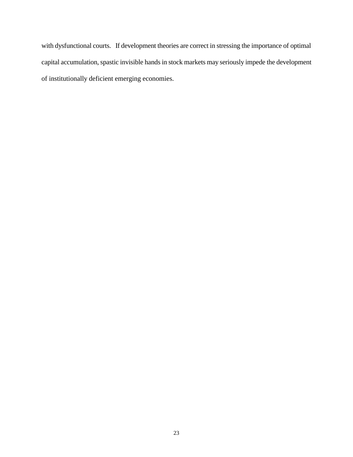with dysfunctional courts. If development theories are correct in stressing the importance of optimal capital accumulation, spastic invisible hands in stock markets may seriously impede the development of institutionally deficient emerging economies.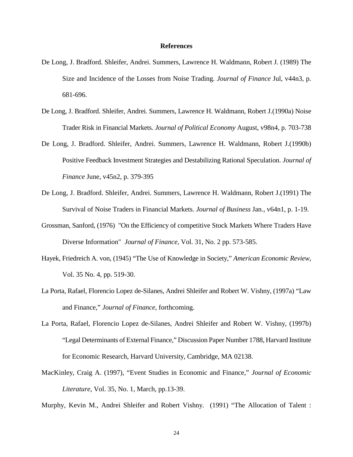#### **References**

- De Long, J. Bradford. Shleifer, Andrei. Summers, Lawrence H. Waldmann, Robert J. (1989) The Size and Incidence of the Losses from Noise Trading. *Journal of Finance* Jul, v44n3, p. 681-696.
- De Long, J. Bradford. Shleifer, Andrei. Summers, Lawrence H. Waldmann, Robert J.(1990a) Noise Trader Risk in Financial Markets. *Journal of Political Economy* August, v98n4, p. 703-738
- De Long, J. Bradford. Shleifer, Andrei. Summers, Lawrence H. Waldmann, Robert J.(1990b) Positive Feedback Investment Strategies and Destabilizing Rational Speculation. *Journal of Finance* June, v45n2, p. 379-395
- De Long, J. Bradford. Shleifer, Andrei. Summers, Lawrence H. Waldmann, Robert J.(1991) The Survival of Noise Traders in Financial Markets. *Journal of Business* Jan., v64n1, p. 1-19.
- Grossman, Sanford, (1976) "On the Efficiency of competitive Stock Markets Where Traders Have Diverse Information" *Journal of Finance,* Vol. 31, No. 2 pp. 573-585.
- Hayek, Friedreich A. von, (1945) "The Use of Knowledge in Society," *American Economic Review*, Vol. 35 No. 4, pp. 519-30.
- La Porta, Rafael, Florencio Lopez de-Silanes, Andrei Shleifer and Robert W. Vishny, (1997a) "Law and Finance," *Journal of Finance*, forthcoming.
- La Porta, Rafael, Florencio Lopez de-Silanes, Andrei Shleifer and Robert W. Vishny, (1997b) "Legal Determinants of External Finance," Discussion Paper Number 1788, Harvard Institute for Economic Research, Harvard University, Cambridge, MA 02138.
- MacKinley, Craig A. (1997), "Event Studies in Economic and Finance," *Journal of Economic Literature*, Vol. 35, No. 1, March, pp.13-39.
- Murphy, Kevin M., Andrei Shleifer and Robert Vishny. (1991) "The Allocation of Talent :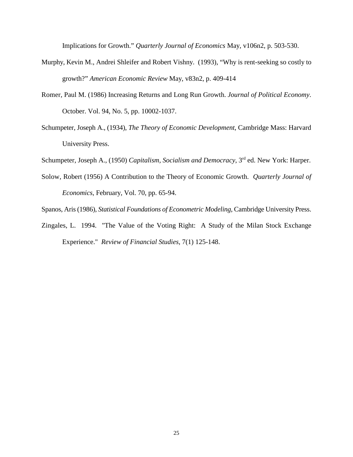Implications for Growth." *Quarterly Journal of Economics* May, v106n2, p. 503-530.

- Murphy, Kevin M., Andrei Shleifer and Robert Vishny. (1993), "Why is rent-seeking so costly to growth?" *American Economic Review* May, v83n2, p. 409-414
- Romer, Paul M. (1986) Increasing Returns and Long Run Growth. *Journal of Political Economy*. October. Vol. 94, No. 5, pp. 10002-1037.
- Schumpeter, Joseph A., (1934), *The Theory of Economic Development*, Cambridge Mass: Harvard University Press.
- Schumpeter, Joseph A., (1950) *Capitalism, Socialism and Democracy*, 3<sup>rd</sup> ed. New York: Harper.
- Solow, Robert (1956) A Contribution to the Theory of Economic Growth. *Quarterly Journal of Economics*, February, Vol. 70, pp. 65-94.
- Spanos, Aris (1986), *Statistical Foundations of Econometric Modeling*, Cambridge University Press.
- Zingales, L. 1994. "The Value of the Voting Right: A Study of the Milan Stock Exchange Experience." *Review of Financial Studies*, 7(1) 125-148.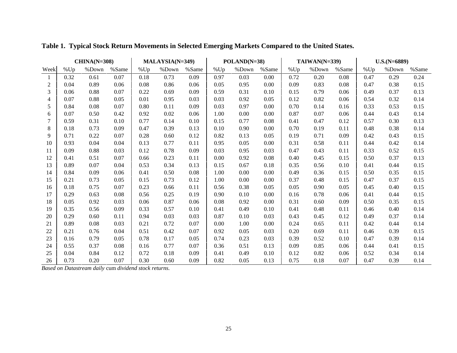|      | $CHINA(N=308)$ |       |       | MALAYSIA(N=349) |       |       | POLAND(N=38) |       |       | $TAIWAN(N=339)$ |       |       | $U.S.(N=6889)$ |       |       |
|------|----------------|-------|-------|-----------------|-------|-------|--------------|-------|-------|-----------------|-------|-------|----------------|-------|-------|
| Week | %Up            | %Down | %Same | %Up             | %Down | %Same | %Up          | %Down | %Same | %Up             | %Down | %Same | %Up            | %Down | %Same |
| 1    | 0.32           | 0.61  | 0.07  | 0.18            | 0.73  | 0.09  | 0.97         | 0.03  | 0.00  | 0.72            | 0.20  | 0.08  | 0.47           | 0.29  | 0.24  |
| 2    | 0.04           | 0.89  | 0.06  | 0.08            | 0.86  | 0.06  | 0.05         | 0.95  | 0.00  | 0.09            | 0.83  | 0.08  | 0.47           | 0.38  | 0.15  |
| 3    | 0.06           | 0.88  | 0.07  | 0.22            | 0.69  | 0.09  | 0.59         | 0.31  | 0.10  | 0.15            | 0.79  | 0.06  | 0.49           | 0.37  | 0.13  |
| 4    | 0.07           | 0.88  | 0.05  | 0.01            | 0.95  | 0.03  | 0.03         | 0.92  | 0.05  | 0.12            | 0.82  | 0.06  | 0.54           | 0.32  | 0.14  |
| 5    | 0.84           | 0.08  | 0.07  | 0.80            | 0.11  | 0.09  | 0.03         | 0.97  | 0.00  | 0.70            | 0.14  | 0.16  | 0.33           | 0.53  | 0.15  |
| 6    | 0.07           | 0.50  | 0.42  | 0.92            | 0.02  | 0.06  | 1.00         | 0.00  | 0.00  | 0.87            | 0.07  | 0.06  | 0.44           | 0.43  | 0.14  |
| 7    | 0.59           | 0.31  | 0.10  | 0.77            | 0.14  | 0.10  | 0.15         | 0.77  | 0.08  | 0.41            | 0.47  | 0.12  | 0.57           | 0.30  | 0.13  |
| 8    | 0.18           | 0.73  | 0.09  | 0.47            | 0.39  | 0.13  | 0.10         | 0.90  | 0.00  | 0.70            | 0.19  | 0.11  | 0.48           | 0.38  | 0.14  |
| 9    | 0.71           | 0.22  | 0.07  | 0.28            | 0.60  | 0.12  | 0.82         | 0.13  | 0.05  | 0.19            | 0.71  | 0.09  | 0.42           | 0.43  | 0.15  |
| 10   | 0.93           | 0.04  | 0.04  | 0.13            | 0.77  | 0.11  | 0.95         | 0.05  | 0.00  | 0.31            | 0.58  | 0.11  | 0.44           | 0.42  | 0.14  |
| 11   | 0.09           | 0.88  | 0.03  | 0.12            | 0.78  | 0.09  | 0.03         | 0.95  | 0.03  | 0.47            | 0.43  | 0.11  | 0.33           | 0.52  | 0.15  |
| 12   | 0.41           | 0.51  | 0.07  | 0.66            | 0.23  | 0.11  | 0.00         | 0.92  | 0.08  | 0.40            | 0.45  | 0.15  | 0.50           | 0.37  | 0.13  |
| 13   | 0.89           | 0.07  | 0.04  | 0.53            | 0.34  | 0.13  | 0.15         | 0.67  | 0.18  | 0.35            | 0.56  | 0.10  | 0.41           | 0.44  | 0.15  |
| 14   | 0.84           | 0.09  | 0.06  | 0.41            | 0.50  | 0.08  | 1.00         | 0.00  | 0.00  | 0.49            | 0.36  | 0.15  | 0.50           | 0.35  | 0.15  |
| 15   | 0.21           | 0.73  | 0.05  | 0.15            | 0.73  | 0.12  | 1.00         | 0.00  | 0.00  | 0.37            | 0.48  | 0.15  | 0.47           | 0.37  | 0.15  |
| 16   | 0.18           | 0.75  | 0.07  | 0.23            | 0.66  | 0.11  | 0.56         | 0.38  | 0.05  | 0.05            | 0.90  | 0.05  | 0.45           | 0.40  | 0.15  |
| 17   | 0.29           | 0.63  | 0.08  | 0.56            | 0.25  | 0.19  | 0.90         | 0.10  | 0.00  | 0.16            | 0.78  | 0.06  | 0.41           | 0.44  | 0.15  |
| 18   | 0.05           | 0.92  | 0.03  | 0.06            | 0.87  | 0.06  | 0.08         | 0.92  | 0.00  | 0.31            | 0.60  | 0.09  | 0.50           | 0.35  | 0.15  |
| 19   | 0.35           | 0.56  | 0.09  | 0.33            | 0.57  | 0.10  | 0.41         | 0.49  | 0.10  | 0.41            | 0.48  | 0.11  | 0.46           | 0.40  | 0.14  |
| 20   | 0.29           | 0.60  | 0.11  | 0.94            | 0.03  | 0.03  | 0.87         | 0.10  | 0.03  | 0.43            | 0.45  | 0.12  | 0.49           | 0.37  | 0.14  |
| 21   | 0.89           | 0.08  | 0.03  | 0.21            | 0.72  | 0.07  | 0.00         | 1.00  | 0.00  | 0.24            | 0.65  | 0.11  | 0.42           | 0.44  | 0.14  |
| 22   | 0.21           | 0.76  | 0.04  | 0.51            | 0.42  | 0.07  | 0.92         | 0.05  | 0.03  | 0.20            | 0.69  | 0.11  | 0.46           | 0.39  | 0.15  |
| 23   | 0.16           | 0.79  | 0.05  | 0.78            | 0.17  | 0.05  | 0.74         | 0.23  | 0.03  | 0.39            | 0.52  | 0.10  | 0.47           | 0.39  | 0.14  |
| 24   | 0.55           | 0.37  | 0.08  | 0.16            | 0.77  | 0.07  | 0.36         | 0.51  | 0.13  | 0.09            | 0.85  | 0.06  | 0.44           | 0.41  | 0.15  |
| 25   | 0.04           | 0.84  | 0.12  | 0.72            | 0.18  | 0.09  | 0.41         | 0.49  | 0.10  | 0.12            | 0.82  | 0.06  | 0.52           | 0.34  | 0.14  |
| 26   | 0.73           | 0.20  | 0.07  | 0.30            | 0.60  | 0.09  | 0.82         | 0.05  | 0.13  | 0.75            | 0.18  | 0.07  | 0.47           | 0.39  | 0.14  |

**Table 1. Typical Stock Return Movements in Selected Emerging Markets Compared to the United States.**

*Based on Datastream daily* cum *dividend stock returns.*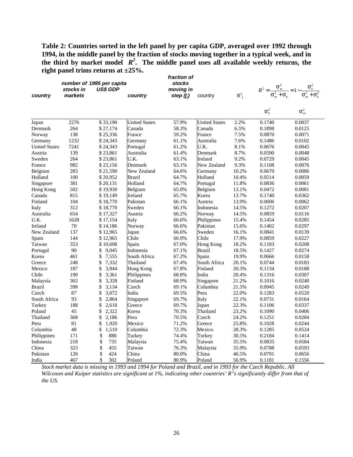**Table 2: Countries sorted in the left panel by per capita GDP, averaged over 1992 through 1994, in the middle panel by the fraction of stocks moving together in a typical week, and in the third by market model** *R<sup>2</sup>* **. The middle panel uses all available weekly returns, the right panel trims returns at ±25%.**

| country              | stocks in<br>markets | number of 1995 per capita<br>US\$ GDP | country              | fraction of<br><b>stocks</b><br>moving in<br>step $(f_i)$ | country              | $R^2$ <sub>i</sub> |                       | $R^2 = \frac{\sigma_m^2}{\sigma_m^2 + \sigma_{\varepsilon}} = 1 - \frac{\sigma_{\varepsilon}^2}{\sigma_m^2 + \sigma_{\varepsilon}^2}$ |
|----------------------|----------------------|---------------------------------------|----------------------|-----------------------------------------------------------|----------------------|--------------------|-----------------------|---------------------------------------------------------------------------------------------------------------------------------------|
|                      |                      |                                       |                      |                                                           |                      |                    | $\sigma_{\epsilon}^2$ | $\sigma_m^2$                                                                                                                          |
| Japan                | 2276                 | \$33,190                              | <b>United States</b> | 57.9%                                                     | <b>United States</b> | 2.2%               | 0.1740                | 0.0037                                                                                                                                |
| Denmark              | 264                  | \$27,174                              | Canada               | 58.3%                                                     | Canada               | 6.5%               | 0.1898                | 0.0125                                                                                                                                |
| Norway               | 138                  | \$25,336                              | France               | 59.2%                                                     | France               | 7.5%               | 0.0870                | 0.0071                                                                                                                                |
| Germany              | 1232                 | \$24,343                              | Germany              | 61.1%                                                     | Australia            | 7.6%               | 0.1486                | 0.0102                                                                                                                                |
| <b>United States</b> | 7241                 | \$24,343                              | Portugal             | 61.2%                                                     | U.K.                 | 8.1%               | 0.0676                | 0.0045                                                                                                                                |
| Austria              | 139                  | \$23,861                              | Australia            | 61.4%                                                     | Denmark              | 8.7%               | 0.0590                | 0.0048                                                                                                                                |
| Sweden               | 264                  | \$23,861                              | U.K.                 | 63.1%                                                     | Ireland              | 9.2%               | 0.0729                | 0.0045                                                                                                                                |
| France               | 982                  | \$23,156                              | Denmark              | 63.1%                                                     | New Zealand          | 9.3%               | 0.1108                | 0.0076                                                                                                                                |
| Belgium              | 283                  | \$21,590                              | New Zealand          | 64.6%                                                     | Germany              | 10.2%              | 0.0670                | 0.0086                                                                                                                                |
| Holland              | 100                  | \$20,952                              | <b>Brazil</b>        | 64.7%                                                     | Holland              | 10.4%              | 0.0514                | 0.0059                                                                                                                                |
| Singapore            | 381                  | \$20,131                              | Holland              | 64.7%                                                     | Portugal             | 11.8%              | 0.0836                | 0.0061                                                                                                                                |
| Hong Kong            | 502                  | \$19,930                              | Belgium              | 65.0%                                                     | Belgium              | 13.1%              | 0.0472                | 0.0081                                                                                                                                |
| Canada               | 815                  | \$19,149                              | Ireland              | 65.7%                                                     | Korea                | 13.7%              | 0.1740                | 0.0362                                                                                                                                |
| Finland              | 104                  | \$18,770                              | Pakistan             | 66.1%                                                     | Austria              | 13.9%              | 0.0606                | 0.0062                                                                                                                                |
| Italy                | 312                  | \$18,770                              | Sweden               | 66.1%                                                     | Indonesia            | 14.5%              | 0.1272                | 0.0207                                                                                                                                |
| Australia            | 654                  | \$17,327                              | Austria              | 66.2%                                                     | Norway               | 14.5%              | 0.0859                | 0.0116                                                                                                                                |
| U.K.                 | 1628                 | \$17,154                              | Italy                | 66.6%                                                     | Philippines          | 15.4%              | 0.1454                | 0.0285                                                                                                                                |
| Ireland              | 70                   | \$14,186                              | Norway               | 66.6%                                                     | Pakistan             | 15.6%              | 0.1402                | 0.0297                                                                                                                                |
| New Zealand          | 137                  | \$12,965                              | Japan                | 66.6%                                                     | Sweden               | 16.1%              | 0.0841                | 0.0139                                                                                                                                |
| Spain                | 144                  | \$12,965                              | Chile                | 66.9%                                                     | Chile                | 17.9%              | 0.0859                | 0.0227                                                                                                                                |
| Taiwan               | 353                  | \$10,698                              | Spain                | 67.0%                                                     | Hong Kong            | 18.2%              | 0.1183                | 0.0208                                                                                                                                |
| Portugal             | 90                   | \$<br>9,045                           | Indonesia            | 67.1%                                                     | <b>Brazil</b>        | 18.5%              | 0.1427                | 0.0274                                                                                                                                |
| Korea                | 461                  | \$<br>7,555                           | South Africa         | 67.2%                                                     | Spain                | 19.9%              | 0.0666                | 0.0158                                                                                                                                |
| Greece               | 248                  | \$<br>7,332                           | Thailand             | 67.4%                                                     | South Africa         | 20.1%              | 0.0744                | 0.0183                                                                                                                                |
| Mexico               | 187                  | \$<br>3,944                           | <b>Hong Kong</b>     | 67.8%                                                     | Finland              | 20.3%              | 0.1134                | 0.0188                                                                                                                                |
| Chile                | 190                  | \$<br>3,361                           | Philippines          | 68.8%                                                     | India                | 20.4%              | 0.1316                | 0.0307                                                                                                                                |
| Malaysia             | 362                  | \$<br>3,328                           | Finland              | 68.9%                                                     | Singapore            | 21.2%              | 0.1016                | 0.0240                                                                                                                                |
| <b>Brazil</b>        | 398                  | \$<br>3,134                           | Czech                | 69.1%                                                     | Columbia             | 21.5%              | 0.0945                | 0.0249                                                                                                                                |
| Czech                | 87                   | \$<br>3,072                           | India                | 69.5%                                                     | Peru                 | 22.0%              | 0.1283                | 0.0520                                                                                                                                |
| South Africa         | 93                   | \$<br>2,864                           | Singapore            | 69.7%                                                     | Italy                | 22.1%              | 0.0731                | 0.0164                                                                                                                                |
| Turkey               | 188                  | \$<br>2,618                           | Greece               | 69.7%                                                     | Japan                | 22.3%              | 0.1106                | 0.0337                                                                                                                                |
| Poland               | 45                   | \$<br>2,322                           | Korea                | 70.3%                                                     | Thailand             | 23.2%              | 0.1090                | 0.0406                                                                                                                                |
| Thailand             | 368                  | \$<br>2,186                           | Peru                 | 70.5%                                                     | Czech                | 24.2%              | 0.1251                | 0.0284                                                                                                                                |
| Peru                 | 81                   | \$<br>1,920                           | Mexico               | 71.2%                                                     | Greece               | 25.8%              | 0.1028                | 0.0244                                                                                                                                |
| Columbia             | 48                   | \$<br>1,510                           | Columbia             | 72.3%                                                     | Mexico               | 28.3%              | 0.1285                | 0.0524                                                                                                                                |
| Philippines          | 171                  | \$<br>880                             | Turkey               | 74.4%                                                     | Turkey               | 30.5%              | 0.2184                | 0.1414                                                                                                                                |
| Indonesia            | 218                  | \$<br>735                             | Malaysia             | 75.4%                                                     | Taiwan               | 35.5%              | 0.0835                | 0.0584                                                                                                                                |
| China                | 323                  | \$<br>455                             | Taiwan               | 76.3%                                                     | Malaysia             | 35.9%              | 0.0788                | 0.0593                                                                                                                                |
| Pakistan             | 120                  | \$<br>424                             | China                | 80.0%                                                     | China                | 46.5%              | 0.0791                | 0.0656                                                                                                                                |
| India                | 467                  | \$<br>302                             | Poland               | 80.9%                                                     | Poland               | 56.9%              | 0.1181                | 0.1556                                                                                                                                |

*Stock market data is missing in 1993 and 1994 for Poland and Brazil, and in 1993 for the Czech Republic. All Wilcoxon and Kuiper statistics are significant at 1%, indicating other countries' R<sup>2</sup> s significantly differ from that of the US.*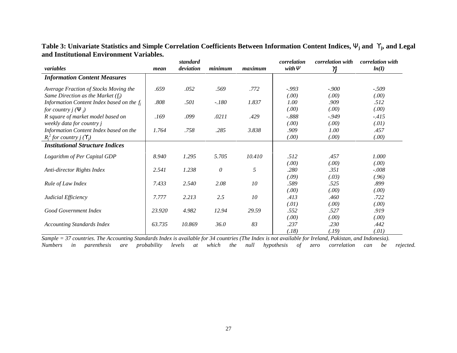**Table 3: Univariate Statistics and Simple Correlation Coefficients Between Information Content Indices,** Ψ**j and** ϒ**j, and Legal and Institutional Environment Variables.**

|                                                     |        | standard  |              |         | correlation | <i>correlation with</i> | <i>correlation with</i> |
|-----------------------------------------------------|--------|-----------|--------------|---------|-------------|-------------------------|-------------------------|
| variables                                           | mean   | deviation | minimum      | maximum | with $\Psi$ | $\gamma$                | ln(I)                   |
| <b>Information Content Measures</b>                 |        |           |              |         |             |                         |                         |
| Average Fraction of Stocks Moving the               | .659   | .052      | .569         | .772    | $-.993$     | $-.900$                 | $-.509$                 |
| Same Direction as the Market $(f_i)$                |        |           |              |         | (.00)       | (.00)                   | (.00)                   |
| Information Content Index based on the $f_i$        | .808   | .501      | $-.180$      | 1.837   | 1.00        | .909                    | .512                    |
| <i>for country j</i> ( $\Psi$ <sub><i>i</i></sub> ) |        |           |              |         | (.00)       | (.00)                   | (.00)                   |
| R square of market model based on                   | .169   | .099      | .0211        | .429    | $-.888$     | $-949$                  | $-415$                  |
| weekly data for country j                           |        |           |              |         | (.00)       | (.00)                   | (.01)                   |
| Information Content Index based on the              | 1.764  | .758      | .285         | 3.838   | .909        | 1.00                    | .457                    |
| $R_i^2$ for country $j(Y_i)$                        |        |           |              |         | (.00)       | (.00)                   | (.00)                   |
| <b>Institutional Structure Indices</b>              |        |           |              |         |             |                         |                         |
| Logarithm of Per Capital GDP                        | 8.940  | 1.295     | 5.705        | 10.410  | .512        | .457                    | 1.000                   |
|                                                     |        |           |              |         | (.00)       | (.00)                   | (.00)                   |
| Anti-director Rights Index                          | 2.541  | 1.238     | $\mathcal O$ | 5       | .280        | .351                    | $-.008$                 |
|                                                     |        |           |              |         | (.09)       | (.03)                   | (.96)                   |
| Rule of Law Index                                   | 7.433  | 2.540     | 2.08         | 10      | .589        | .525                    | .899                    |
|                                                     |        |           |              |         | (.00)       | (.00)                   | (.00)                   |
| Judicial Efficiency                                 | 7.777  | 2.213     | 2.5          | 10      | .413        | .460                    | .722                    |
|                                                     |        |           |              |         | (.01)       | (.00)                   | (.00)                   |
| Good Government Index                               | 23.920 | 4.982     | 12.94        | 29.59   | .552        | .527                    | .919                    |
|                                                     |        |           |              |         | (.00)       | (.00)                   | (.00)                   |
| <b>Accounting Standards Index</b>                   | 63.735 | 10.869    | 36.0         | 83      | .237        | .230                    | .442                    |
|                                                     |        |           |              |         | (.18)       | (.19)                   | (.01)                   |

*Sample = 37 countries. The Accounting Standards Index is available for 34 countries (The Index is not available for Ireland, Pakistan, and Indonesia). Numbers in parenthesis are probability levels at which the null hypothesis of zero correlation can be rejected.*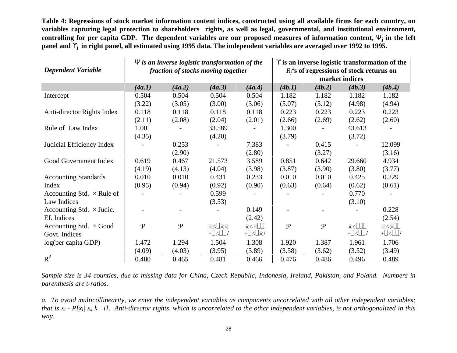**Table 4: Regressions of stock market information content indices, constructed using all available firms for each country, on variables capturing legal protection to shareholders rights, as well as legal, governmental, and institutional environment, controlling for per capita GDP. The dependent variables are our proposed measures of information content,** Ψ**j in the left panel and** ϒ**j in right panel, all estimated using 1995 data. The independent variables are averaged over 1992 to 1995.**

| <b>Dependent Variable</b>        |               |             | $\Psi$ is an inverse logistic transformation of the<br>fraction of stocks moving together |                                                | $\Upsilon$ is an inverse logistic transformation of the<br>$R_i^2$ s of regressions of stock returns on<br>market indices |               |                              |                               |  |
|----------------------------------|---------------|-------------|-------------------------------------------------------------------------------------------|------------------------------------------------|---------------------------------------------------------------------------------------------------------------------------|---------------|------------------------------|-------------------------------|--|
|                                  | (4a.1)        | (4a.2)      | (4a.3)                                                                                    | (4a.4)                                         | (4b.1)                                                                                                                    | (4b.2)        | (4b.3)                       | (4b.4)                        |  |
| Intercept                        | 0.504         | 0.504       | 0.504                                                                                     | 0.504                                          | 1.182                                                                                                                     | 1.182         | 1.182                        | 1.182                         |  |
|                                  | (3.22)        | (3.05)      | (3.00)                                                                                    | (3.06)                                         | (5.07)                                                                                                                    | (5.12)        | (4.98)                       | (4.94)                        |  |
| Anti-director Rights Index       | 0.118         | 0.118       | 0.118                                                                                     | 0.118                                          | 0.223                                                                                                                     | 0.223         | 0.223                        | 0.223                         |  |
|                                  | (2.11)        | (2.08)      | (2.04)                                                                                    | (2.01)                                         | (2.66)                                                                                                                    | (2.69)        | (2.62)                       | (2.60)                        |  |
| Rule of Law Index                | 1.001         |             | 33.589                                                                                    |                                                | 1.300                                                                                                                     |               | 43.613                       |                               |  |
|                                  | (4.35)        |             | (4.20)                                                                                    |                                                | (3.79)                                                                                                                    |               | (3.72)                       |                               |  |
| Judicial Efficiency Index        |               | 0.253       |                                                                                           | 7.383                                          |                                                                                                                           | 0.415         |                              | 12.099                        |  |
|                                  |               | (2.90)      |                                                                                           | (2.80)                                         |                                                                                                                           | (3.27)        |                              | (3.16)                        |  |
| Good Government Index            | 0.619         | 0.467       | 21.573                                                                                    | 3.589                                          | 0.851                                                                                                                     | 0.642         | 29.660                       | 4.934                         |  |
|                                  | (4.19)        | (4.13)      | (4.04)                                                                                    | (3.98)                                         | (3.87)                                                                                                                    | (3.90)        | (3.80)                       | (3.77)                        |  |
| <b>Accounting Standards</b>      | 0.010         | 0.010       | 0.431                                                                                     | 0.233                                          | 0.010                                                                                                                     | 0.010         | 0.425                        | 0.229                         |  |
| Index                            | (0.95)        | (0.94)      | (0.92)                                                                                    | (0.90)                                         | (0.63)                                                                                                                    | (0.64)        | (0.62)                       | (0.61)                        |  |
| Accounting Std. $\times$ Rule of |               |             | 0.599                                                                                     |                                                |                                                                                                                           |               | 0.770                        |                               |  |
| Law Indices                      |               |             | (3.53)                                                                                    |                                                |                                                                                                                           |               | (3.10)                       |                               |  |
| Accounting Std. $\times$ Judic.  |               |             |                                                                                           | 0.149                                          |                                                                                                                           |               |                              | 0.228                         |  |
| Ef. Indices                      |               |             |                                                                                           | (2.42)                                         |                                                                                                                           |               |                              | (2.54)                        |  |
| Accounting Std. $\times$ Good    | $\mathcal{P}$ | $\mathbf P$ | $\overline{\times}$ $\leq$ $\overline{\times}$ $\overline{\times}$                        | $\overline{\times}$ $\leq$ $\overline{\times}$ | $\mathbf{P}$                                                                                                              | $\mathcal{P}$ | $\overline{\times}$          | 对                             |  |
| Govt. Indices                    |               |             | $\ast \Box \leq \Box \Box /$                                                              | ∗∏≲∏⊼∕                                         |                                                                                                                           |               | $\ast \Box \leq \Box \Box /$ | $\lfloor \frac{1}{2} \rfloor$ |  |
| log(per capita GDP)              | 1.472         | 1.294       | 1.504                                                                                     | 1.308                                          | 1.920                                                                                                                     | 1.387         | 1.961                        | 1.706                         |  |
|                                  | (4.09)        | (4.03)      | (3.95)                                                                                    | (3.89)                                         | (3.58)                                                                                                                    | (3.62)        | (3.52)                       | (3.49)                        |  |
| $R^2$                            | 0.480         | 0.465       | 0.481                                                                                     | 0.466                                          | 0.476                                                                                                                     | 0.486         | 0.496                        | 0.489                         |  |

*Sample size is 34 counties, due to missing data for China, Czech Republic, Indonesia, Ireland, Pakistan, and Poland. Numbers in parenthesis are t-ratios.*

*a. To avoid multicollinearity, we enter the independent variables as components uncorrelated with all other independent variables; that is*  $x_i$  *- P[x<sub>i</sub>| x<sub>k</sub> k i]. Anti-director rights, which is uncorrelated to the other independent variables, is not orthogonalized in this way.*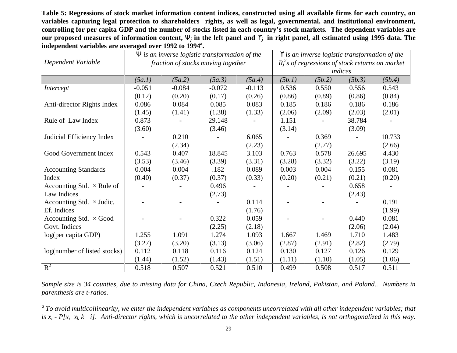**Table 5: Regressions of stock market information content indices, constructed using all available firms for each country, on variables capturing legal protection to shareholders rights, as well as legal, governmental, and institutional environment, controlling for per capita GDP and the number of stocks listed in each country's stock markets. The dependent variables are our proposed measures of information content,** Ψ*<sup>j</sup>* **in the left panel and** ϒ*j* **in right panel, all estimated using 1995 data. The independent variables are averaged over 1992 to 1994a.**

| Dependent Variable               |          |          | $\Psi$ is an inverse logistic transformation of the<br>fraction of stocks moving together | $\Upsilon$ is an inverse logistic transformation of the<br>$R_i^2$ s of regressions of stock returns on market<br>indices |        |        |        |        |
|----------------------------------|----------|----------|-------------------------------------------------------------------------------------------|---------------------------------------------------------------------------------------------------------------------------|--------|--------|--------|--------|
|                                  | (5a.1)   | (5a.2)   | (5a.3)                                                                                    | (5a.4)                                                                                                                    | (5b.1) | (5b.2) | (5b.3) | (5b.4) |
| Intercept                        | $-0.051$ | $-0.084$ | $-0.072$                                                                                  | $-0.113$                                                                                                                  | 0.536  | 0.550  | 0.556  | 0.543  |
|                                  | (0.12)   | (0.20)   | (0.17)                                                                                    | (0.26)                                                                                                                    | (0.86) | (0.89) | (0.86) | (0.84) |
| Anti-director Rights Index       | 0.086    | 0.084    | 0.085                                                                                     | 0.083                                                                                                                     | 0.185  | 0.186  | 0.186  | 0.186  |
|                                  | (1.45)   | (1.41)   | (1.38)                                                                                    | (1.33)                                                                                                                    | (2.06) | (2.09) | (2.03) | (2.01) |
| Rule of Law Index                | 0.873    |          | 29.148                                                                                    |                                                                                                                           | 1.151  |        | 38.784 |        |
|                                  | (3.60)   |          | (3.46)                                                                                    |                                                                                                                           | (3.14) |        | (3.09) |        |
| Judicial Efficiency Index        |          | 0.210    |                                                                                           | 6.065                                                                                                                     |        | 0.369  |        | 10.733 |
|                                  |          | (2.34)   |                                                                                           | (2.23)                                                                                                                    |        | (2.77) |        | (2.66) |
| Good Government Index            | 0.543    | 0.407    | 18.845                                                                                    | 3.103                                                                                                                     | 0.763  | 0.578  | 26.695 | 4.430  |
|                                  | (3.53)   | (3.46)   | (3.39)                                                                                    | (3.31)                                                                                                                    | (3.28) | (3.32) | (3.22) | (3.19) |
| <b>Accounting Standards</b>      | 0.004    | 0.004    | .182                                                                                      | 0.089                                                                                                                     | 0.003  | 0.004  | 0.155  | 0.081  |
| Index                            | (0.40)   | (0.37)   | (0.37)                                                                                    | (0.33)                                                                                                                    | (0.20) | (0.21) | (0.21) | (0.20) |
| Accounting Std. $\times$ Rule of |          |          | 0.496                                                                                     |                                                                                                                           |        |        | 0.658  |        |
| Law Indices                      |          |          | (2.73)                                                                                    |                                                                                                                           |        |        | (2.43) |        |
| Accounting Std. $\times$ Judic.  |          |          |                                                                                           | 0.114                                                                                                                     |        |        |        | 0.191  |
| Ef. Indices                      |          |          |                                                                                           | (1.76)                                                                                                                    |        |        |        | (1.99) |
| Accounting Std. $\times$ Good    |          |          | 0.322                                                                                     | 0.059                                                                                                                     |        |        | 0.440  | 0.081  |
| Govt. Indices                    |          |          | (2.25)                                                                                    | (2.18)                                                                                                                    |        |        | (2.06) | (2.04) |
| log(per capita GDP)              | 1.255    | 1.091    | 1.274                                                                                     | 1.093                                                                                                                     | 1.667  | 1.469  | 1.710  | 1.483  |
|                                  | (3.27)   | (3.20)   | (3.13)                                                                                    | (3.06)                                                                                                                    | (2.87) | (2.91) | (2.82) | (2.79) |
| log(number of listed stocks)     | 0.112    | 0.118    | 0.116                                                                                     | 0.124                                                                                                                     | 0.130  | 0.127  | 0.126  | 0.129  |
|                                  | (1.44)   | (1.52)   | (1.43)                                                                                    | (1.51)                                                                                                                    | (1.11) | (1.10) | (1.05) | (1.06) |
| $R^2$                            | 0.518    | 0.507    | 0.521                                                                                     | 0.510                                                                                                                     | 0.499  | 0.508  | 0.517  | 0.511  |

*Sample size is 34 counties, due to missing data for China, Czech Republic, Indonesia, Ireland, Pakistan, and Poland.. Numbers in parenthesis are t-ratios.*

*a To avoid multicollinearity, we enter the independent variables as components uncorrelated with all other independent variables; that is xi - P[xi| xk k i]. Anti-director rights, which is uncorrelated to the other independent variables, is not orthogonalized in this way.*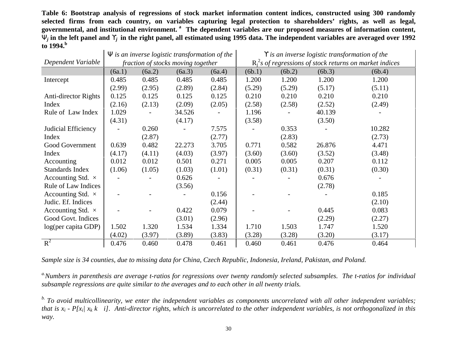**Table 6: Bootstrap analysis of regressions of stock market information content indices, constructed using 300 randomly selected firms from each country, on variables capturing legal protection to shareholders' rights, as well as legal, governmental, and institutional environment. a The dependent variables are our proposed measures of information content,** Ψ*<sup>j</sup>* **in the left panel and** ϒ*j* **in the right panel, all estimated using 1995 data. The independent variables are averaged over 1992 to 1994.<sup>b</sup>**

|                            |        |        | $\Psi$ is an inverse logistic transformation of the |        | Y is an inverse logistic transformation of the              |        |        |        |  |  |
|----------------------------|--------|--------|-----------------------------------------------------|--------|-------------------------------------------------------------|--------|--------|--------|--|--|
| Dependent Variable         |        |        | fraction of stocks moving together                  |        | $R_i^2$ s of regressions of stock returns on market indices |        |        |        |  |  |
|                            | (6a.1) | (6a.2) | (6a.3)                                              | (6a.4) | (6b.1)                                                      | (6b.2) | (6b.3) | (6b.4) |  |  |
| Intercept                  | 0.485  | 0.485  | 0.485                                               | 0.485  | 1.200                                                       | 1.200  | 1.200  | 1.200  |  |  |
|                            | (2.99) | (2.95) | (2.89)                                              | (2.84) | (5.29)                                                      | (5.29) | (5.17) | (5.11) |  |  |
| Anti-director Rights       | 0.125  | 0.125  | 0.125                                               | 0.125  | 0.210                                                       | 0.210  | 0.210  | 0.210  |  |  |
| Index                      | (2.16) | (2.13) | (2.09)                                              | (2.05) | (2.58)                                                      | (2.58) | (2.52) | (2.49) |  |  |
| Rule of Law Index          | 1.029  |        | 34.526                                              |        | 1.196                                                       |        | 40.139 |        |  |  |
|                            | (4.31) |        | (4.17)                                              |        | (3.58)                                                      |        | (3.50) |        |  |  |
| Judicial Efficiency        |        | 0.260  |                                                     | 7.575  |                                                             | 0.353  |        | 10.282 |  |  |
| Index                      |        | (2.87) |                                                     | (2.77) |                                                             | (2.83) |        | (2.73) |  |  |
| Good Government            | 0.639  | 0.482  | 22.273                                              | 3.705  | 0.771                                                       | 0.582  | 26.876 | 4.471  |  |  |
| Index                      | (4.17) | (4.11) | (4.03)                                              | (3.97) | (3.60)                                                      | (3.60) | (3.52) | (3.48) |  |  |
| Accounting                 | 0.012  | 0.012  | 0.501                                               | 0.271  | 0.005                                                       | 0.005  | 0.207  | 0.112  |  |  |
| <b>Standards Index</b>     | (1.06) | (1.05) | (1.03)                                              | (1.01) | (0.31)                                                      | (0.31) | (0.31) | (0.30) |  |  |
| Accounting Std. $\times$   |        |        | 0.626                                               |        |                                                             |        | 0.676  |        |  |  |
| <b>Rule of Law Indices</b> |        |        | (3.56)                                              |        |                                                             |        | (2.78) |        |  |  |
| Accounting Std. $\times$   |        |        |                                                     | 0.156  |                                                             |        |        | 0.185  |  |  |
| Judic. Ef. Indices         |        |        |                                                     | (2.44) |                                                             |        |        | (2.10) |  |  |
| Accounting Std. $\times$   |        |        | 0.422                                               | 0.079  |                                                             |        | 0.445  | 0.083  |  |  |
| Good Govt. Indices         |        |        | (3.01)                                              | (2.96) |                                                             |        | (2.29) | (2.27) |  |  |
| log(per capita GDP)        | 1.502  | 1.320  | 1.534                                               | 1.334  | 1.710                                                       | 1.503  | 1.747  | 1.520  |  |  |
|                            | (4.02) | (3.97) | (3.89)                                              | (3.83) | (3.28)                                                      | (3.28) | (3.20) | (3.17) |  |  |
| $R^2$                      | 0.476  | 0.460  | 0.478                                               | 0.461  | 0.460                                                       | 0.461  | 0.476  | 0.464  |  |  |

*Sample size is 34 counties, due to missing data for China, Czech Republic, Indonesia, Ireland, Pakistan, and Poland.*

*a.Numbers in parenthesis are average t-ratios for regressions over twenty randomly selected subsamples. The t-ratios for individual subsample regressions are quite similar to the averages and to each other in all twenty trials.*

*b. To avoid multicollinearity, we enter the independent variables as components uncorrelated with all other independent variables; that is xi - P[xi| xk k i]. Anti-director rights, which is uncorrelated to the other independent variables, is not orthogonalized in this way.*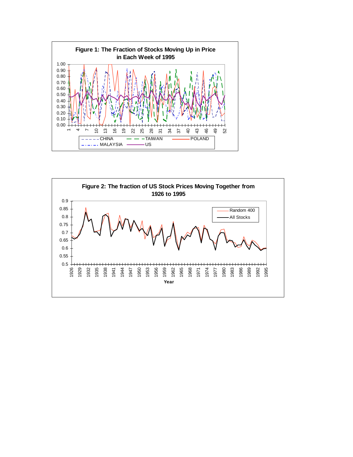

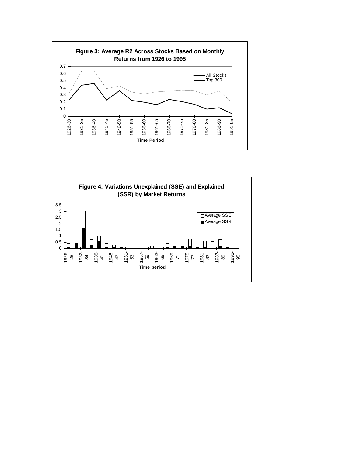

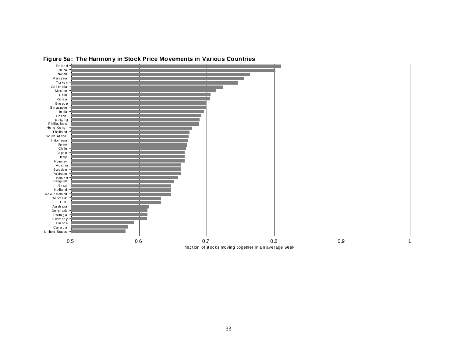

**Figure 5a : The Harmony in Stock Price Movements in Various Countries**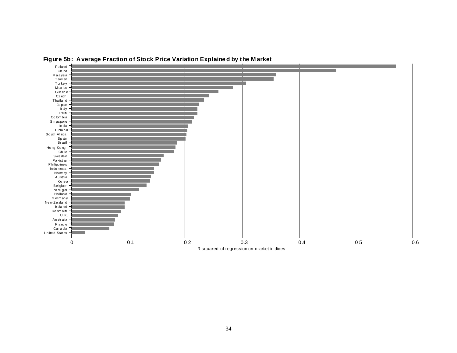

**Figure 5b: Average Fraction of Stock Price Variation Explaine d by the M arket**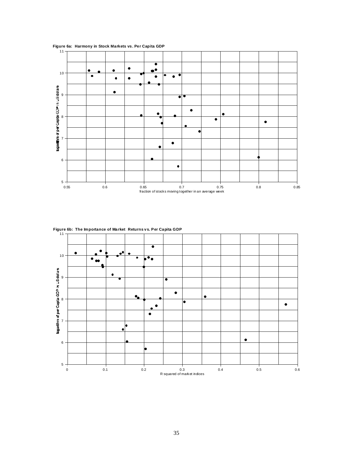

**Figure 6a: Harmony in Stock Markets vs. Per Capita GDP**

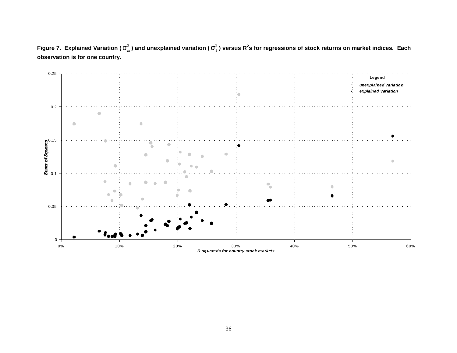**Figure 7.** Explained Variation (σ<sup>2</sup><sub>*m*</sub>) and unexplained variation (σ<sup>2</sup><sub>ε</sub>) versus R<sup>2</sup>s for regressions of stock returns on market indices. Each **observation is for one country.**

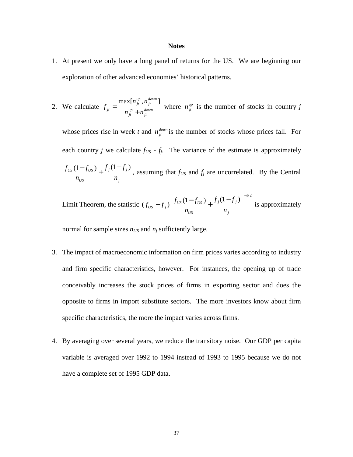#### **Notes**

- 1. At present we only have a long panel of returns for the US. We are beginning our exploration of other advanced economies' historical patterns.
- 2. We calculate *f*  $n_{\;it}^{\mathit{up}}$  ,  $n$  $n^{up}_{it} + n^{up}_{it}$ *jt up jt down jt up*  $=\frac{\max[n_{ji}^{up}, n_{ji}^{down}]}{n_{ji}^{up} + n_{ji}^{down}}$  where  $n_{ji}^{up}$  is the number of stocks in country *j*

whose prices rise in week *t* and  $n_f^{down}$  is the number of stocks whose prices fall. For each country *j* we calculate  $f_{US}$  -  $f_j$ . The variance of the estimate is approximately  $f_{\rm US}$  (1 –  $f$ *n*  $f_i(1-f)$ *n*  $US$   $U_1$   $J$   $US$ *US j j j*  $\frac{(1 - f_{US})}{(1 - f_{US})} + \frac{f_j(1 - f_j)}{f_j}$ , assuming that  $f_{US}$  and  $f_j$  are uncorrelated. By the Central

Limit Theorem, the statistic 
$$
(f_{US} - f_j) \left[ \frac{f_{US}(1 - f_{US})}{n_{US}} + \frac{f_j(1 - f_j)}{n_j} \right]^{-1/2}
$$
 is approximately

normal for sample sizes  $n_{US}$  and  $n_i$  sufficiently large.

- 3. The impact of macroeconomic information on firm prices varies according to industry and firm specific characteristics, however. For instances, the opening up of trade conceivably increases the stock prices of firms in exporting sector and does the opposite to firms in import substitute sectors. The more investors know about firm specific characteristics, the more the impact varies across firms.
- 4. By averaging over several years, we reduce the transitory noise. Our GDP per capita variable is averaged over 1992 to 1994 instead of 1993 to 1995 because we do not have a complete set of 1995 GDP data.